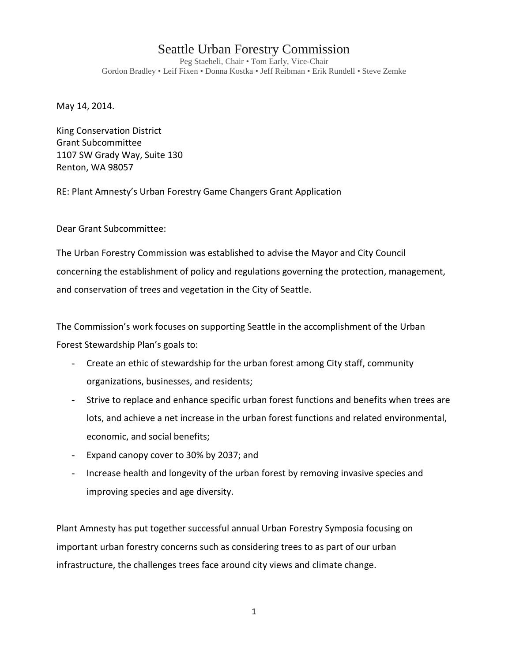## Seattle Urban Forestry Commission

Peg Staeheli, Chair • Tom Early, Vice-Chair Gordon Bradley • Leif Fixen • Donna Kostka • Jeff Reibman • Erik Rundell • Steve Zemke

May 14, 2014.

King Conservation District Grant Subcommittee 1107 SW Grady Way, Suite 130 Renton, WA 98057

RE: Plant Amnesty's Urban Forestry Game Changers Grant Application

Dear Grant Subcommittee:

The Urban Forestry Commission was established to advise the Mayor and City Council concerning the establishment of policy and regulations governing the protection, management, and conservation of trees and vegetation in the City of Seattle.

The Commission's work focuses on supporting Seattle in the accomplishment of the Urban Forest Stewardship Plan's goals to:

- Create an ethic of stewardship for the urban forest among City staff, community organizations, businesses, and residents;
- Strive to replace and enhance specific urban forest functions and benefits when trees are lots, and achieve a net increase in the urban forest functions and related environmental, economic, and social benefits;
- Expand canopy cover to 30% by 2037; and
- Increase health and longevity of the urban forest by removing invasive species and improving species and age diversity.

Plant Amnesty has put together successful annual Urban Forestry Symposia focusing on important urban forestry concerns such as considering trees to as part of our urban infrastructure, the challenges trees face around city views and climate change.